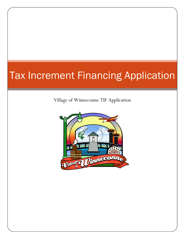# Tax Increment Financing Application

Village of Winneconne TIF Application

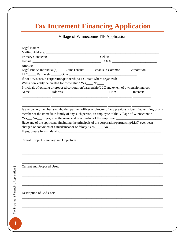# **Tax Increment Financing Application**

# Village of Winneconne TIF Application

|                                         |          |                                                                                                  |  |        | Legal Entity: Individual(s) ______ Joint Tenants ______ Tenants in Common ______ Corporation ______                                                                                                           |
|-----------------------------------------|----------|--------------------------------------------------------------------------------------------------|--|--------|---------------------------------------------------------------------------------------------------------------------------------------------------------------------------------------------------------------|
|                                         |          | If not a Wisconsin corporation/partnership/LLC, state where organized: __________                |  |        |                                                                                                                                                                                                               |
|                                         |          | Will a new entity be created for ownership? Yes____ No____                                       |  |        |                                                                                                                                                                                                               |
|                                         |          | Principals of existing or proposed corporation/partnership/LLC and extent of ownership interest. |  |        |                                                                                                                                                                                                               |
| Name:                                   | Address: |                                                                                                  |  | Title: | Interest:                                                                                                                                                                                                     |
|                                         |          |                                                                                                  |  |        |                                                                                                                                                                                                               |
|                                         |          | Yes No If yes, give the name and relationship of the employee:                                   |  |        | Is any owner, member, stockholder, partner, officer or director of any previously identified entities, or any<br>member of the immediate family of any such person, an employee of the Village of Winneconne? |
|                                         |          |                                                                                                  |  |        | Have any of the applicants (including the principals of the corporation/partnership/LLC) ever been                                                                                                            |
|                                         |          | charged or convicted of a misdemeanor or felony? Yes_____ No_____                                |  |        |                                                                                                                                                                                                               |
|                                         |          |                                                                                                  |  |        |                                                                                                                                                                                                               |
|                                         |          |                                                                                                  |  |        |                                                                                                                                                                                                               |
| Overall Project Summary and Objectives: |          |                                                                                                  |  |        |                                                                                                                                                                                                               |
|                                         |          |                                                                                                  |  |        |                                                                                                                                                                                                               |
| <b>Current and Proposed Uses:</b>       |          |                                                                                                  |  |        |                                                                                                                                                                                                               |
|                                         |          |                                                                                                  |  |        |                                                                                                                                                                                                               |
|                                         |          |                                                                                                  |  |        |                                                                                                                                                                                                               |
|                                         |          |                                                                                                  |  |        |                                                                                                                                                                                                               |
|                                         |          |                                                                                                  |  |        |                                                                                                                                                                                                               |
|                                         |          |                                                                                                  |  |        |                                                                                                                                                                                                               |
| Description of End Users:               |          |                                                                                                  |  |        |                                                                                                                                                                                                               |
|                                         |          |                                                                                                  |  |        |                                                                                                                                                                                                               |
|                                         |          |                                                                                                  |  |        |                                                                                                                                                                                                               |
|                                         |          |                                                                                                  |  |        |                                                                                                                                                                                                               |
|                                         |          |                                                                                                  |  |        |                                                                                                                                                                                                               |
|                                         |          |                                                                                                  |  |        |                                                                                                                                                                                                               |
|                                         |          |                                                                                                  |  |        |                                                                                                                                                                                                               |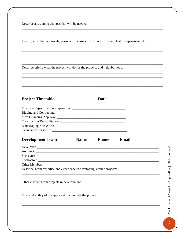Describe any zoning changes that will be needed:

Identify any other approvals, permits or licenses (i.e. Liquor License, Health Department, etc):

Describe briefly what the project will do for the property and neighborhood:

#### **Project Timetable**

**Date** 

| <b>Construction/Rehabilitation:</b> |  |
|-------------------------------------|--|
|                                     |  |
|                                     |  |
|                                     |  |

#### **Development Team Name Phone** Email

| Describe Team expertise and experience in developing similar projects: |  |
|------------------------------------------------------------------------|--|

Other current Team projects in development:

Financial ability of the applicant to complete the project: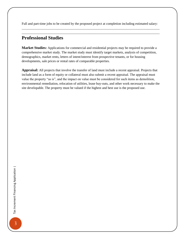Full and part-time jobs to be created by the proposed project at completion including estimated salary: \_\_\_\_\_\_\_\_\_\_\_\_\_\_\_\_\_\_\_\_\_\_\_\_\_\_\_\_\_\_\_\_\_\_\_\_\_\_\_\_\_\_\_\_\_\_\_\_\_\_\_\_\_\_\_\_\_\_\_\_\_\_\_\_\_\_\_\_\_\_\_\_\_\_\_\_\_\_\_\_\_\_\_

\_\_\_\_\_\_\_\_\_\_\_\_\_\_\_\_\_\_\_\_\_\_\_\_\_\_\_\_\_\_\_\_\_\_\_\_\_\_\_\_\_\_\_\_\_\_\_\_\_\_\_\_\_\_\_\_\_\_\_\_\_\_\_\_\_\_\_\_\_\_\_\_\_\_\_\_\_\_\_\_\_\_\_

### **Professional Studies**

**Market Studies:** Applications for commercial and residential projects may be required to provide a comprehensive market study. The market study must identify target markets, analysis of competition, demographics, market rents, letters of intent/interest from prospective tenants, or for housing developments, sale prices or rental rates of comparable properties.

**Appraisal:** All projects that involve the transfer of land must include a recent appraisal. Projects that include land as a form of equity or collateral must also submit a recent appraisal. The appraisal must value the property "as is", and the impact on value must be considered for such items as demolition, environmental remediation, relocation of utilities, lease buy-outs, and other work necessary to make the site developable. The property must be valued if the highest and best use is the proposed use.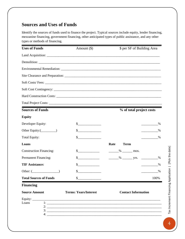# **Sources and Uses of Funds**

Identify the sources of funds used to finance the project. Typical sources include equity, lender financing, mezzanine financing, government financing, other anticipated types of public assistance, and any other types or methods of financing.

| <b>Uses of Funds</b>           | Amount $(\$)$                         | \$ per SF of Building Area |
|--------------------------------|---------------------------------------|----------------------------|
|                                |                                       |                            |
|                                |                                       |                            |
|                                |                                       |                            |
|                                |                                       |                            |
|                                |                                       |                            |
|                                |                                       |                            |
|                                |                                       |                            |
|                                |                                       |                            |
| <b>Sources of Funds</b>        |                                       | % of total project costs   |
| <b>Equity</b>                  |                                       |                            |
| Developer Equity:              | $\sim$                                | $\%$                       |
|                                | $\frac{\text{S}}{\text{S}}$           | $\%$                       |
| <b>Total Equity:</b>           | $\sim$ $\sim$                         | $\%$                       |
| Loans                          |                                       | Rate<br><b>Term</b>        |
| <b>Construction Financing:</b> | $\frac{\text{S}}{\text{S}}$           | $\frac{\%}{\%}$ mos.       |
| <b>Permanent Financing:</b>    | $\frac{\text{S}}{\text{S}}$           |                            |
| <b>TIF Assistance:</b>         | \$                                    | %                          |
| Other: $(\_$                   | \$                                    | $\frac{0}{0}$              |
| <b>Total Sources of Funds</b>  | \$                                    | 100%                       |
| <b>Financing</b>               |                                       |                            |
| <b>Source Amount</b>           | <b>Terms: Years/Interest</b>          | <b>Contact Information</b> |
| Loans                          | $\boxed{1:\underline{\hspace{1.5cm}}$ |                            |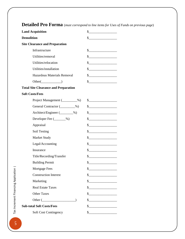# Land Acquisition  $\qquad \qquad \S$ **Demolition** \$\_\_\_\_\_\_\_\_\_\_\_\_\_\_\_\_\_ **Site Clearance and Preparation**  Infrastructure  $\qquad \qquad$  \$ Utilities/removal  $\qquad \qquad \$ Utilities/relocation  $\sim$  \$ Utilities/installation  $\qquad \qquad \S$ Hazardous Materials Removal  $\qquad \qquad \$ Other()  $\qquad \qquad$  \ **Total Site Clearance and Preparation Soft Costs/Fees**  Project Management (2008) \$ General Contractor (Contractor  $\frac{1}{2}$ Architect/Engineer  $(\_\_\_\_$ %)  $\_\$ Developer Fee  $(\_\_\_\%)$   $\$ Appraisal \$\_\_\_\_\_\_\_\_\_\_\_\_\_\_\_\_\_ Soil Testing  $\qquad \qquad \S$ Market Study  $\qquad \qquad$  \$ Legal/Accounting \$ Insurance \$\_\_\_\_\_\_\_\_\_\_\_\_\_\_\_\_\_ Title/Recording/Transfer \$\_\_\_\_\_\_\_\_\_\_\_\_\_\_\_\_\_ Building Permit  $\qquad \qquad \S$ Mortgage Fees \$ Construction Interest  $\sim$ Marketing \$ Real Estate Taxes  $\qquad \qquad$  \$ Other Taxes  $\qquad \qquad \text{\$\$}$ Other  $(\_ \)$   $\$ **Sub-total Soft Costs/Fees** \$\_\_\_\_\_\_\_\_\_\_\_\_\_\_\_\_\_ Soft Cost Contingency  $\qquad \qquad$  \[\]

#### **Detailed Pro Forma** (*must correspond to line items for Uses of Funds on previous page*)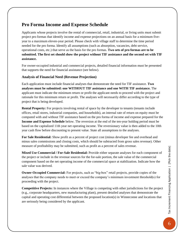### **Pro Forma Income and Expense Schedule**

Applicants whose projects involve the rental of commercial, retail, industrial, or living units must submit project pro formas that identify income and expense projections on an annual basis for a minimum fiveyear to a maximum eleven-year period. Please check with village staff to determine the time period needed for the pro forma. Identify all assumptions (such as absorption, vacancies, debt service, operational costs, etc.) that serve as the basis for the pro formas. **Two sets of pro formas are to be submitted. The first set should show the project without TIF assistance and the second set with TIF assistance.**

For owner-occupied industrial and commercial projects, detailed financial information must be presented that supports the need for financial assistance (see below).

#### **Analysis of Financial Need (Revenue Projection)**

Each application must include financial analyses that demonstrate the need for TIF assistance. **Two analyses must be submitted: one WITHOUT TIF assistance and one WITH TIF assistance.** The applicant must indicate the minimum return or profit the applicant needs to proceed with the project and rationale for this minimum return or profit. The analyses will necessarily differ according to the type of project that is being developed.

**Rental Property:** For projects involving rental of space by the developer to tenants (tenants include offices, retail stores, industrial companies, and households), an internal rate of return on equity must be computed with and without TIF assistance based on the pro forma of income and expense prepared for the **Income and Expense Schedule** below. The reversion at the end of the ten-year holding period must be based on the capitalized 11th year net operating income. The reversionary value is then added to the 10th year cash flow before discounting to present value. State all assumptions to the analyses.

**For Sale Residential:** Show profit as a percent of project cost (minus developer fee and overhead and minus sales commissions and closing costs, which should be subtracted from gross sales revenue). Other measure of profitability may be submitted, such as profit as a percent of sales revenue.

**Mixed Use Commercial / For-Sale Residential:** Provide either separate analyses for each component of the project or include in the revenue sources for the for-sale portion, the sale value of the commercial component based on the net operating income of the commercial space at stabilization. Indicate how the sale value was derived.

**Owner-Occupied Commercial:** For projects, such as "big-box" retail projects, provide copies of the analyses that the company needs to meet or exceed the company's minimum investment threshold(s) for proceeding with the project.

**Competitive Projects:** In instances where the Village is competing with other jurisdictions for the project (e.g., corporate headquarters, new manufacturing plant), present detailed analyses that demonstrate the capital and operating cost differential between the proposed location(s) in Winneconne and locations that are seriously being considered by the applicant.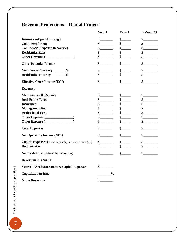# **Revenue Projections – Rental Project**

|                                                                      | Year 1                                                                                                                                                                                                                                                                                                                                                                       | Year 2                          | $>>$ Year 11                                                                                                                                                                                                                                                                                                                                                                 |
|----------------------------------------------------------------------|------------------------------------------------------------------------------------------------------------------------------------------------------------------------------------------------------------------------------------------------------------------------------------------------------------------------------------------------------------------------------|---------------------------------|------------------------------------------------------------------------------------------------------------------------------------------------------------------------------------------------------------------------------------------------------------------------------------------------------------------------------------------------------------------------------|
| Income rent per sf (or avg.)                                         | s                                                                                                                                                                                                                                                                                                                                                                            |                                 | $\frac{\text{S}}{\text{S}}$                                                                                                                                                                                                                                                                                                                                                  |
| <b>Commercial Rent</b>                                               | $\frac{\sim}{\sim}$                                                                                                                                                                                                                                                                                                                                                          | s                               | s                                                                                                                                                                                                                                                                                                                                                                            |
| <b>Commercial Expense Recoveries</b>                                 | $\frac{1}{2}$                                                                                                                                                                                                                                                                                                                                                                | s                               | $\frac{\S_{\frac{1}{2}}}{\S_{\frac{1}{2}}}{\S_{\frac{1}{2}}}{\S_{\frac{1}{2}}}{\S_{\frac{1}{2}}}{\S_{\frac{1}{2}}}{\S_{\frac{1}{2}}}{\S_{\frac{1}{2}}}{\S_{\frac{1}{2}}}{\S_{\frac{1}{2}}}{\S_{\frac{1}{2}}}{\S_{\frac{1}{2}}}{\S_{\frac{1}{2}}}{\S_{\frac{1}{2}}}{\S_{\frac{1}{2}}}{\S_{\frac{1}{2}}}{\S_{\frac{1}{2}}}{\S_{\frac{1}{2}}}{\S_{\frac{1}{2}}}{\S_{\frac{1}{2$ |
| <b>Residential Rent</b>                                              | $\sim$                                                                                                                                                                                                                                                                                                                                                                       | s                               | $\frac{\sim}{\sim}$                                                                                                                                                                                                                                                                                                                                                          |
|                                                                      | $\mathbb{S}^-$                                                                                                                                                                                                                                                                                                                                                               | s                               | $\sim$                                                                                                                                                                                                                                                                                                                                                                       |
| <b>Gross Potential Income</b>                                        | \$                                                                                                                                                                                                                                                                                                                                                                           | $\mathbb{S}^-$                  | \$                                                                                                                                                                                                                                                                                                                                                                           |
| Commercial Vacancy ______%                                           | $\frac{1}{2}$                                                                                                                                                                                                                                                                                                                                                                | s                               | s                                                                                                                                                                                                                                                                                                                                                                            |
| Residential Vacancy ______%                                          | $\frac{\cdot}{\cdot}$                                                                                                                                                                                                                                                                                                                                                        | $\mathcal{S}$                   | s                                                                                                                                                                                                                                                                                                                                                                            |
| <b>Effective Gross Income (EGI)</b>                                  | $\mathcal{S}$                                                                                                                                                                                                                                                                                                                                                                | $\mathcal{S}$                   | $\sim$                                                                                                                                                                                                                                                                                                                                                                       |
| <b>Expenses</b>                                                      |                                                                                                                                                                                                                                                                                                                                                                              |                                 |                                                                                                                                                                                                                                                                                                                                                                              |
| <b>Maintenance &amp; Repairs</b>                                     | s                                                                                                                                                                                                                                                                                                                                                                            |                                 | s                                                                                                                                                                                                                                                                                                                                                                            |
| <b>Real Estate Taxes</b>                                             | s                                                                                                                                                                                                                                                                                                                                                                            | s                               | s                                                                                                                                                                                                                                                                                                                                                                            |
| <b>Insurance</b>                                                     | $\frac{\text{S}}{\text{S}}$                                                                                                                                                                                                                                                                                                                                                  | s                               | s                                                                                                                                                                                                                                                                                                                                                                            |
| <b>Management Fee</b>                                                | $\sim$                                                                                                                                                                                                                                                                                                                                                                       | $\frac{1}{2}$                   | s                                                                                                                                                                                                                                                                                                                                                                            |
| <b>Professional Fees</b>                                             | $\frac{\S_{\frac{1}{2}}}{\S_{\frac{1}{2}}}{\S_{\frac{1}{2}}}{\S_{\frac{1}{2}}}{\S_{\frac{1}{2}}}{\S_{\frac{1}{2}}}{\S_{\frac{1}{2}}}{\S_{\frac{1}{2}}}{\S_{\frac{1}{2}}}{\S_{\frac{1}{2}}}{\S_{\frac{1}{2}}}{\S_{\frac{1}{2}}}{\S_{\frac{1}{2}}}{\S_{\frac{1}{2}}}{\S_{\frac{1}{2}}}{\S_{\frac{1}{2}}}{\S_{\frac{1}{2}}}{\S_{\frac{1}{2}}}{\S_{\frac{1}{2}}}{\S_{\frac{1}{2$ | s                               | s                                                                                                                                                                                                                                                                                                                                                                            |
|                                                                      | $\frac{\text{S}}{\text{S}}$                                                                                                                                                                                                                                                                                                                                                  | s                               | s                                                                                                                                                                                                                                                                                                                                                                            |
|                                                                      | $\frac{\text{S}}{\text{S}}$                                                                                                                                                                                                                                                                                                                                                  | $\frac{1}{2}$                   | s                                                                                                                                                                                                                                                                                                                                                                            |
| <b>Total Expenses</b>                                                | $\mathbb{S}^-$                                                                                                                                                                                                                                                                                                                                                               | $\frac{1}{2}$                   | $\mathbb{S}^-$                                                                                                                                                                                                                                                                                                                                                               |
| <b>Net Operating Income (NOI)</b>                                    | $\mathcal{S}$                                                                                                                                                                                                                                                                                                                                                                | s                               | $\mathbb{S}$                                                                                                                                                                                                                                                                                                                                                                 |
| <b>Capital Expenses</b> (reserves, tenant improvements, commissions) | $\frac{\text{S}}{\text{S}}$                                                                                                                                                                                                                                                                                                                                                  | s                               | s                                                                                                                                                                                                                                                                                                                                                                            |
| <b>Debt Service</b>                                                  | $\mathbb{S}$                                                                                                                                                                                                                                                                                                                                                                 | $\mathbb{S}$                    | $\frac{\text{S}}{\text{S}}$                                                                                                                                                                                                                                                                                                                                                  |
| <b>Net Cash Flow (before depreciation)</b>                           | $\frac{\S_{\frac{1}{2}}}{\S_{\frac{1}{2}}}{\S_{\frac{1}{2}}}{\S_{\frac{1}{2}}}{\S_{\frac{1}{2}}}{\S_{\frac{1}{2}}}{\S_{\frac{1}{2}}}{\S_{\frac{1}{2}}}{\S_{\frac{1}{2}}}{\S_{\frac{1}{2}}}{\S_{\frac{1}{2}}}{\S_{\frac{1}{2}}}{\S_{\frac{1}{2}}}{\S_{\frac{1}{2}}}{\S_{\frac{1}{2}}}{\S_{\frac{1}{2}}}{\S_{\frac{1}{2}}}{\S_{\frac{1}{2}}}{\S_{\frac{1}{2}}}{\S_{\frac{1}{2$ | $\frac{\S_{\perp}}{\S_{\perp}}$ | s                                                                                                                                                                                                                                                                                                                                                                            |
| <b>Reversion in Year 10</b>                                          |                                                                                                                                                                                                                                                                                                                                                                              |                                 |                                                                                                                                                                                                                                                                                                                                                                              |
| Year 11 NOI before Debt & Capital Expenses                           | $\frac{1}{2}$                                                                                                                                                                                                                                                                                                                                                                |                                 |                                                                                                                                                                                                                                                                                                                                                                              |
| <b>Capitalization Rate</b>                                           | $\%$                                                                                                                                                                                                                                                                                                                                                                         |                                 |                                                                                                                                                                                                                                                                                                                                                                              |
| <b>Gross Reversion</b>                                               | \$                                                                                                                                                                                                                                                                                                                                                                           |                                 |                                                                                                                                                                                                                                                                                                                                                                              |

 $\overline{7}$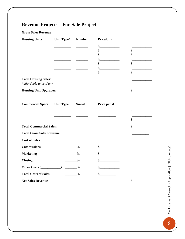# **Revenue Projects – For-Sale Project**

#### **Gross Sales Revenue**

| <b>Housing Units</b>                                    | Unit Type*                    | <b>Number</b> | Price/Unit                                                                                                                                                                                                                                                                                                                                                                   |                             |
|---------------------------------------------------------|-------------------------------|---------------|------------------------------------------------------------------------------------------------------------------------------------------------------------------------------------------------------------------------------------------------------------------------------------------------------------------------------------------------------------------------------|-----------------------------|
|                                                         |                               |               | $\frac{1}{2}$                                                                                                                                                                                                                                                                                                                                                                | $\frac{1}{2}$               |
|                                                         | __________                    |               | s                                                                                                                                                                                                                                                                                                                                                                            | s                           |
|                                                         | <u> Liberal Communication</u> |               | $\frac{1}{2}$                                                                                                                                                                                                                                                                                                                                                                | $\frac{1}{2}$               |
|                                                         |                               |               | $\frac{1}{2}$                                                                                                                                                                                                                                                                                                                                                                | s                           |
|                                                         |                               |               | $\frac{1}{1}$                                                                                                                                                                                                                                                                                                                                                                | $\frac{1}{2}$               |
|                                                         |                               |               | s                                                                                                                                                                                                                                                                                                                                                                            | $\frac{1}{2}$               |
|                                                         |                               |               | $\frac{1}{2}$                                                                                                                                                                                                                                                                                                                                                                | \$                          |
| <b>Total Housing Sales:</b><br>*affordable units if any |                               |               |                                                                                                                                                                                                                                                                                                                                                                              | $\frac{1}{2}$               |
| <b>Housing Unit Upgrades:</b>                           |                               |               |                                                                                                                                                                                                                                                                                                                                                                              | s                           |
| <b>Commercial Space</b>                                 | <b>Unit Type</b>              | Size-sf       | Price per sf                                                                                                                                                                                                                                                                                                                                                                 |                             |
|                                                         |                               |               |                                                                                                                                                                                                                                                                                                                                                                              | s                           |
|                                                         |                               |               |                                                                                                                                                                                                                                                                                                                                                                              | $\frac{\text{S}}{\text{S}}$ |
|                                                         |                               |               |                                                                                                                                                                                                                                                                                                                                                                              | $\frac{1}{2}$               |
| <b>Total Commercial Sales:</b>                          |                               |               | $\frac{1}{2}$                                                                                                                                                                                                                                                                                                                                                                |                             |
| <b>Total Gross Sales Revenue</b>                        |                               |               |                                                                                                                                                                                                                                                                                                                                                                              | $\frac{1}{2}$               |
| <b>Cost of Sales</b>                                    |                               |               |                                                                                                                                                                                                                                                                                                                                                                              |                             |
| <b>Commissions</b>                                      |                               | %             | $\frac{\text{S}}{\text{S}}$                                                                                                                                                                                                                                                                                                                                                  |                             |
| <b>Marketing</b>                                        |                               | $\%$          | $\frac{1}{2}$                                                                                                                                                                                                                                                                                                                                                                |                             |
| <b>Closing</b>                                          |                               | $\%$          | $\frac{\S_{\frac{1}{2}}}{\S_{\frac{1}{2}}}{\S_{\frac{1}{2}}}{\S_{\frac{1}{2}}}{\S_{\frac{1}{2}}}{\S_{\frac{1}{2}}}{\S_{\frac{1}{2}}}{\S_{\frac{1}{2}}}{\S_{\frac{1}{2}}}{\S_{\frac{1}{2}}}{\S_{\frac{1}{2}}}{\S_{\frac{1}{2}}}{\S_{\frac{1}{2}}}{\S_{\frac{1}{2}}}{\S_{\frac{1}{2}}}{\S_{\frac{1}{2}}}{\S_{\frac{1}{2}}}{\S_{\frac{1}{2}}}{\S_{\frac{1}{2}}}{\S_{\frac{1}{2$ |                             |
| Other Costs $(\_ \_ \_ \_ \_ \_ \_$                     |                               | $\%$          | \$                                                                                                                                                                                                                                                                                                                                                                           |                             |
| <b>Total Costs of Sales</b>                             |                               | $\%$          | $\frac{\S_{\frac{1}{2}}}{\S_{\frac{1}{2}}}{\S_{\frac{1}{2}}}{\S_{\frac{1}{2}}}{\S_{\frac{1}{2}}}{\S_{\frac{1}{2}}}{\S_{\frac{1}{2}}}{\S_{\frac{1}{2}}}{\S_{\frac{1}{2}}}{\S_{\frac{1}{2}}}{\S_{\frac{1}{2}}}{\S_{\frac{1}{2}}}{\S_{\frac{1}{2}}}{\S_{\frac{1}{2}}}{\S_{\frac{1}{2}}}{\S_{\frac{1}{2}}}{\S_{\frac{1}{2}}}{\S_{\frac{1}{2}}}{\S_{\frac{1}{2}}}{\S_{\frac{1}{2$ |                             |
| <b>Net Sales Revenue</b>                                |                               |               |                                                                                                                                                                                                                                                                                                                                                                              | \$                          |

Tax Increment Financing Application | [Pick the date] **8Tax Increment Financing Application | [Pick the date]**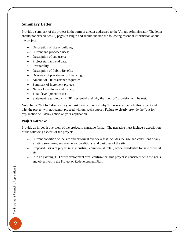#### **Summary Letter**

Provide a summary of the project in the form of a letter addressed to the Village Administrator. The letter should not exceed two (2) pages in length and should include the following essential information about the project:

- Description of site or building;
- Current and proposed uses;
- Description of end users;
- Project start and end date;
- Profitability;
- Description of Public Benefits
- Overview of private-sector financing;
- Amount of TIF assistance requested;
- Summary of increment projects;
- Name of developer and owner;
- Total development costs;
- Statement regarding why TIF is essential and why the "but for" provision will be met.

Note: In the "but for" discussion you must clearly describe why TIF is needed to help this project and why the project will not/cannot proceed without such support. Failure to clearly provide the "but for" explanation will delay action on your application.

#### **Project Narrative**

Provide an in-depth overview of the project in narrative format. The narrative must include a description of the following aspects of the project:

- Current condition of the site and historical overview that includes the size and conditions of any existing structures, environmental conditions, and past uses of the site.
- Proposed use(s) of project (e.g. industrial, commercial, retail, office, residential for sale or rental, etc.)
- If in an existing TID or redevelopment area, confirm that this project is consistent with the goals and objectives in the Project or Redevelopment Plan.